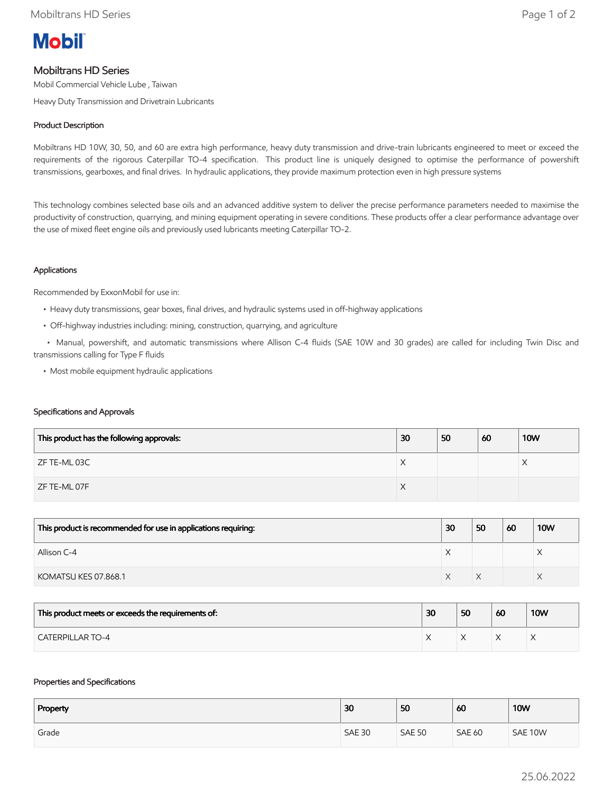

# Mobiltrans HD Series

Mobil Commercial Vehicle Lube , Taiwan

Heavy Duty Transmission and Drivetrain Lubricants

## Product Description

Mobiltrans HD 10W, 30, 50, and 60 are extra high performance, heavy duty transmission and drive-train lubricants engineered to meet or exceed the requirements of the rigorous Caterpillar TO-4 specification. This product line is uniquely designed to optimise the performance of powershift transmissions, gearboxes, and final drives. In hydraulic applications, they provide maximum protection even in high pressure systems

This technology combines selected base oils and an advanced additive system to deliver the precise performance parameters needed to maximise the productivity of construction, quarrying, and mining equipment operating in severe conditions. These products offer a clear performance advantage over the use of mixed fleet engine oils and previously used lubricants meeting Caterpillar TO-2.

## Applications

Recommended by ExxonMobil for use in:

- Heavy duty transmissions, gear boxes, final drives, and hydraulic systems used in off-highway applications
- Off-highway industries including: mining, construction, quarrying, and agriculture

 • Manual, powershift, and automatic transmissions where Allison C-4 fluids (SAE 10W and 30 grades) are called for including Twin Disc and transmissions calling for Type F fluids

• Most mobile equipment hydraulic applications

#### Specifications and Approvals

| This product has the following approvals: | 30 | 50 | 60 | <b>10W</b> |
|-------------------------------------------|----|----|----|------------|
| ZF TE-ML 03C                              | ⌒  |    |    |            |
| ZF TE-ML 07F                              | ∧  |    |    |            |

| This product is recommended for use in applications requiring: | 30 | 50 | 60 | <b>10W</b> |
|----------------------------------------------------------------|----|----|----|------------|
| Allison C-4                                                    |    |    |    |            |
| KOMATSU KES 07.868.1                                           |    |    |    |            |

| This product meets or exceeds the requirements of: | 30 | 50 | 60 | <b>10W</b> |
|----------------------------------------------------|----|----|----|------------|
| <b>CATERPILLAR TO-4</b>                            |    |    |    |            |

#### Properties and Specifications

| Property | 30            | 50            | 60            | <b>10W</b> |
|----------|---------------|---------------|---------------|------------|
| Grade    | <b>SAE 30</b> | <b>SAE 50</b> | <b>SAE 60</b> | SAE 10W    |